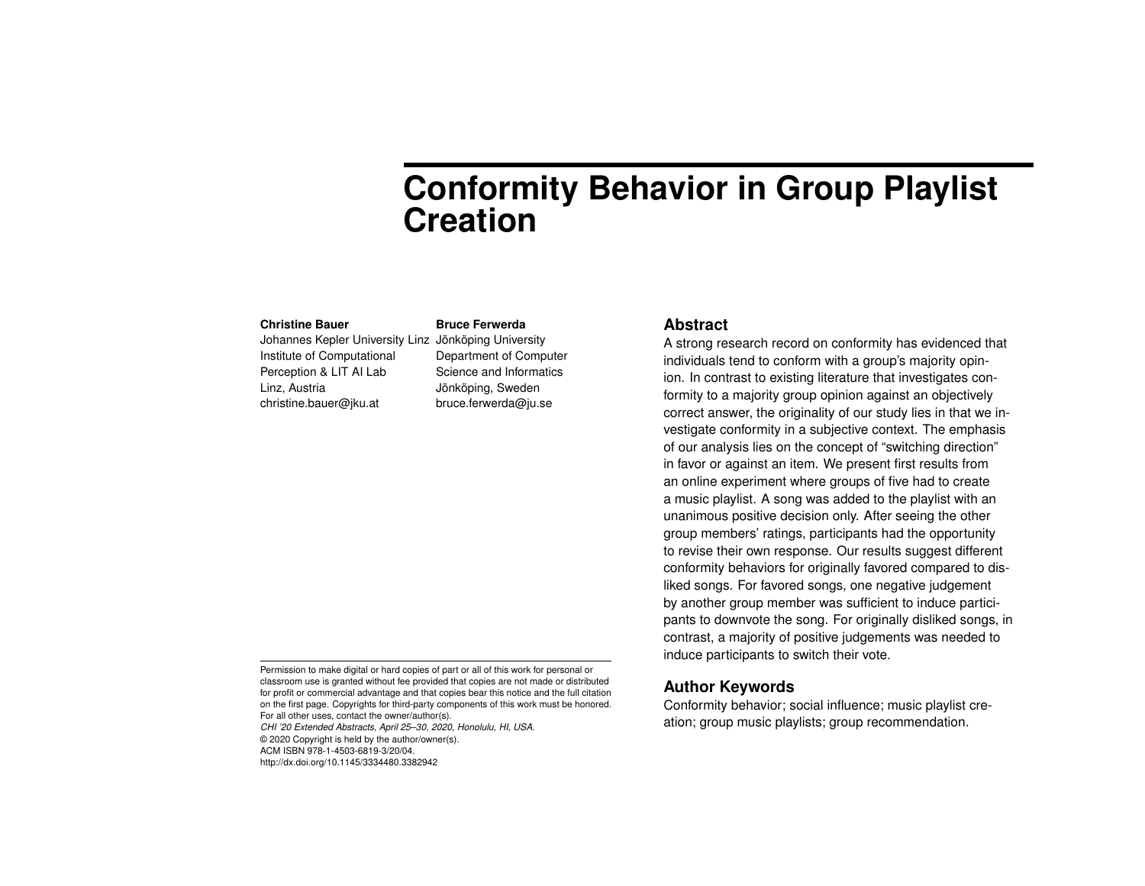# **Conformity Behavior in Group Playlist Creation**

#### **Christine Bauer**

Johannes Kepler University Linz Jönköping University Institute of Computational Perception & LIT AI Lab Linz, Austria christine.bauer@jku.at

# **Bruce Ferwerda**

Department of Computer Science and Informatics Jönköping, Sweden bruce.ferwerda@ju.se

# **Abstract**

A strong research record on conformity has evidenced that individuals tend to conform with a group's majority opinion. In contrast to existing literature that investigates conformity to a majority group opinion against an objectively correct answer, the originality of our study lies in that we investigate conformity in a subjective context. The emphasis of our analysis lies on the concept of "switching direction" in favor or against an item. We present first results from an online experiment where groups of five had to create a music playlist. A song was added to the playlist with an unanimous positive decision only. After seeing the other group members' ratings, participants had the opportunity to revise their own response. Our results suggest different conformity behaviors for originally favored compared to disliked songs. For favored songs, one negative judgement by another group member was sufficient to induce participants to downvote the song. For originally disliked songs, in contrast, a majority of positive judgements was needed to induce participants to switch their vote.

# **Author Keywords**

Conformity behavior; social influence; music playlist creation; group music playlists; group recommendation.

Permission to make digital or hard copies of part or all of this work for personal or classroom use is granted without fee provided that copies are not made or distributed for profit or commercial advantage and that copies bear this notice and the full citation on the first page. Copyrights for third-party components of this work must be honored. For all other uses, contact the owner/author(s).

*CHI '20 Extended Abstracts, April 25–30, 2020, Honolulu, HI, USA.* © 2020 Copyright is held by the author/owner(s). ACM ISBN 978-1-4503-6819-3/20/04. http://dx.doi.org/10.1145/3334480.3382942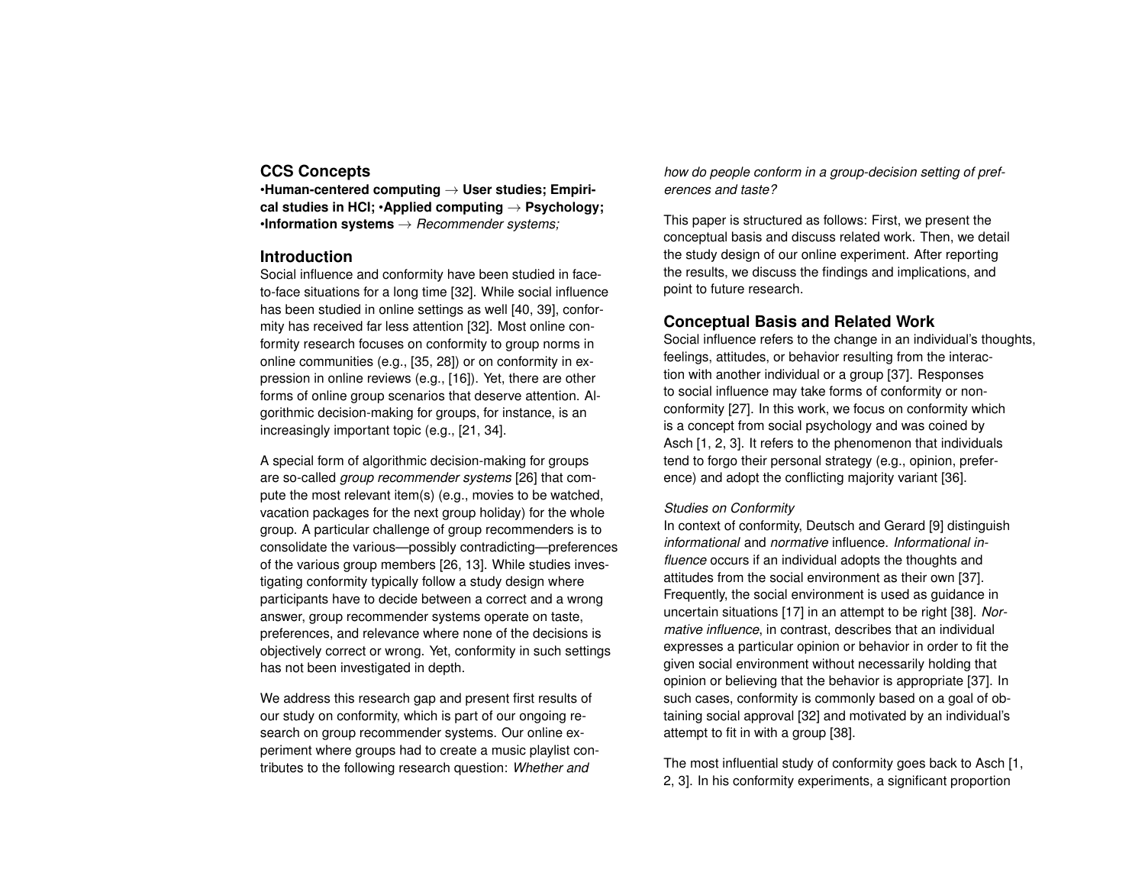# **CCS Concepts**

•**Human-centered computing** → **User studies; Empirical studies in HCI;** •**Applied computing** → **Psychology;** •**Information systems** → *Recommender systems;*

## **Introduction**

Social influence and conformity have been studied in faceto-face situations for a long time [\[32\]](#page-9-0). While social influence has been studied in online settings as well [\[40,](#page-9-1) [39\]](#page-9-2), conformity has received far less attention [\[32\]](#page-9-0). Most online conformity research focuses on conformity to group norms in online communities (e.g., [\[35,](#page-9-3) [28\]](#page-8-0)) or on conformity in expression in online reviews (e.g., [\[16\]](#page-7-0)). Yet, there are other forms of online group scenarios that deserve attention. Algorithmic decision-making for groups, for instance, is an increasingly important topic (e.g., [\[21,](#page-8-1) [34\]](#page-9-4).

A special form of algorithmic decision-making for groups are so-called *group recommender systems* [\[26\]](#page-8-2) that compute the most relevant item(s) (e.g., movies to be watched, vacation packages for the next group holiday) for the whole group. A particular challenge of group recommenders is to consolidate the various—possibly contradicting—preferences of the various group members [\[26,](#page-8-2) [13\]](#page-7-1). While studies investigating conformity typically follow a study design where participants have to decide between a correct and a wrong answer, group recommender systems operate on taste, preferences, and relevance where none of the decisions is objectively correct or wrong. Yet, conformity in such settings has not been investigated in depth.

We address this research gap and present first results of our study on conformity, which is part of our ongoing research on group recommender systems. Our online experiment where groups had to create a music playlist contributes to the following research question: *Whether and*

*how do people conform in a group-decision setting of preferences and taste?*

This paper is structured as follows: First, we present the conceptual basis and discuss related work. Then, we detail the study design of our online experiment. After reporting the results, we discuss the findings and implications, and point to future research.

# **Conceptual Basis and Related Work**

Social influence refers to the change in an individual's thoughts, feelings, attitudes, or behavior resulting from the interaction with another individual or a group [\[37\]](#page-9-5). Responses to social influence may take forms of conformity or nonconformity [\[27\]](#page-8-3). In this work, we focus on conformity which is a concept from social psychology and was coined by Asch [\[1,](#page-6-0) [2,](#page-6-1) [3\]](#page-6-2). It refers to the phenomenon that individuals tend to forgo their personal strategy (e.g., opinion, preference) and adopt the conflicting majority variant [\[36\]](#page-9-6).

#### *Studies on Conformity*

In context of conformity, Deutsch and Gerard [\[9\]](#page-7-2) distinguish *informational* and *normative* influence. *Informational influence* occurs if an individual adopts the thoughts and attitudes from the social environment as their own [\[37\]](#page-9-5). Frequently, the social environment is used as guidance in uncertain situations [\[17\]](#page-7-3) in an attempt to be right [\[38\]](#page-9-7). *Normative influence*, in contrast, describes that an individual expresses a particular opinion or behavior in order to fit the given social environment without necessarily holding that opinion or believing that the behavior is appropriate [\[37\]](#page-9-5). In such cases, conformity is commonly based on a goal of obtaining social approval [\[32\]](#page-9-0) and motivated by an individual's attempt to fit in with a group [\[38\]](#page-9-7).

The most influential study of conformity goes back to Asch [\[1,](#page-6-0) [2,](#page-6-1) [3\]](#page-6-2). In his conformity experiments, a significant proportion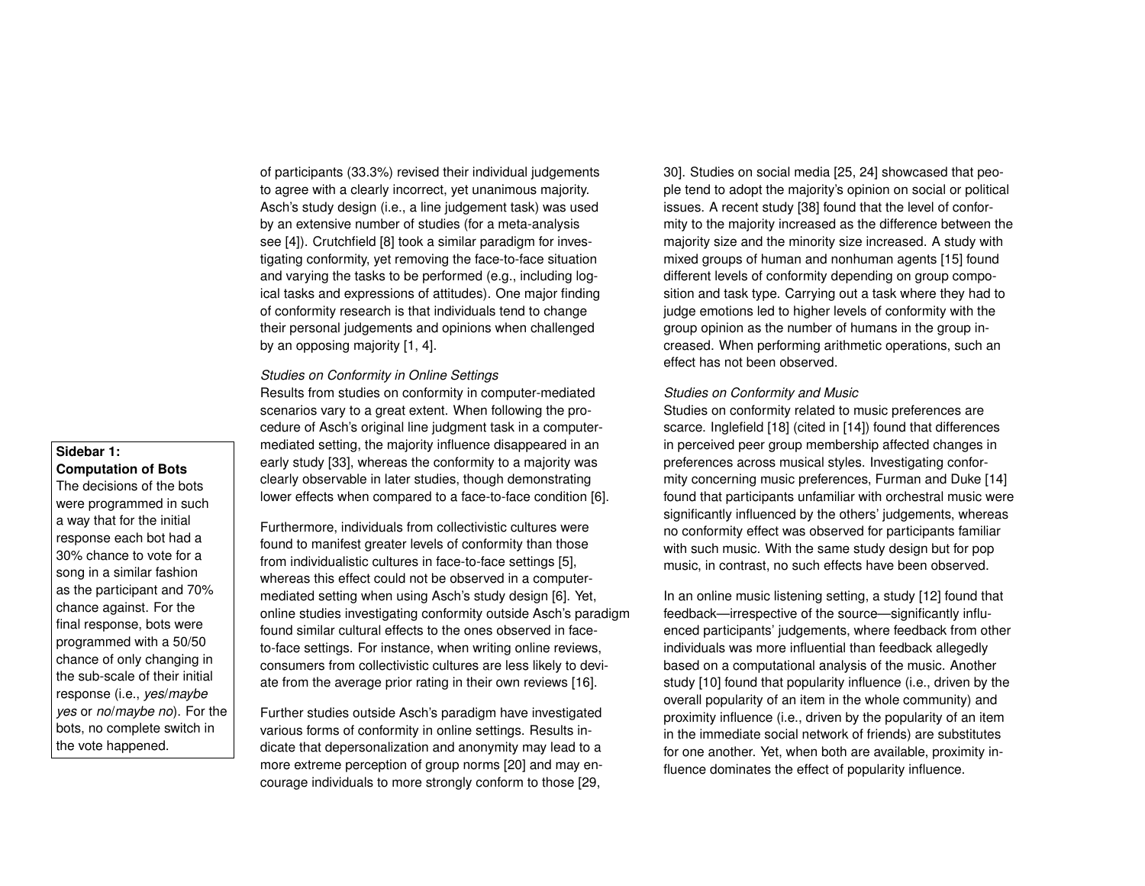of participants (33.3%) revised their individual judgements to agree with a clearly incorrect, yet unanimous majority. Asch's study design (i.e., a line judgement task) was used by an extensive number of studies (for a meta-analysis see [\[4\]](#page-6-3)). Crutchfield [\[8\]](#page-7-4) took a similar paradigm for investigating conformity, yet removing the face-to-face situation and varying the tasks to be performed (e.g., including logical tasks and expressions of attitudes). One major finding of conformity research is that individuals tend to change their personal judgements and opinions when challenged by an opposing majority [\[1,](#page-6-0) [4\]](#page-6-3).

#### *Studies on Conformity in Online Settings*

Results from studies on conformity in computer-mediated scenarios vary to a great extent. When following the procedure of Asch's original line judgment task in a computermediated setting, the majority influence disappeared in an early study [\[33\]](#page-9-8), whereas the conformity to a majority was clearly observable in later studies, though demonstrating lower effects when compared to a face-to-face condition [\[6\]](#page-6-4).

Furthermore, individuals from collectivistic cultures were found to manifest greater levels of conformity than those from individualistic cultures in face-to-face settings [\[5\]](#page-6-5), whereas this effect could not be observed in a computermediated setting when using Asch's study design [\[6\]](#page-6-4). Yet, online studies investigating conformity outside Asch's paradigm found similar cultural effects to the ones observed in faceto-face settings. For instance, when writing online reviews, consumers from collectivistic cultures are less likely to deviate from the average prior rating in their own reviews [\[16\]](#page-7-0).

Further studies outside Asch's paradigm have investigated various forms of conformity in online settings. Results indicate that depersonalization and anonymity may lead to a more extreme perception of group norms [\[20\]](#page-8-4) and may encourage individuals to more strongly conform to those [\[29,](#page-9-9)

[30\]](#page-9-10). Studies on social media [\[25,](#page-8-5) [24\]](#page-8-6) showcased that people tend to adopt the majority's opinion on social or political issues. A recent study [\[38\]](#page-9-7) found that the level of conformity to the majority increased as the difference between the majority size and the minority size increased. A study with mixed groups of human and nonhuman agents [\[15\]](#page-7-5) found different levels of conformity depending on group composition and task type. Carrying out a task where they had to judge emotions led to higher levels of conformity with the group opinion as the number of humans in the group increased. When performing arithmetic operations, such an effect has not been observed.

#### *Studies on Conformity and Music*

Studies on conformity related to music preferences are scarce. Inglefield [\[18\]](#page-7-6) (cited in [\[14\]](#page-7-7)) found that differences in perceived peer group membership affected changes in preferences across musical styles. Investigating conformity concerning music preferences, Furman and Duke [\[14\]](#page-7-7) found that participants unfamiliar with orchestral music were significantly influenced by the others' judgements, whereas no conformity effect was observed for participants familiar with such music. With the same study design but for pop music, in contrast, no such effects have been observed.

In an online music listening setting, a study [\[12\]](#page-7-8) found that feedback—irrespective of the source—significantly influenced participants' judgements, where feedback from other individuals was more influential than feedback allegedly based on a computational analysis of the music. Another study [\[10\]](#page-7-9) found that popularity influence (i.e., driven by the overall popularity of an item in the whole community) and proximity influence (i.e., driven by the popularity of an item in the immediate social network of friends) are substitutes for one another. Yet, when both are available, proximity influence dominates the effect of popularity influence.

#### **Sidebar 1: Computation of Bots**

The decisions of the bots were programmed in such a way that for the initial response each bot had a 30% chance to vote for a song in a similar fashion as the participant and 70% chance against. For the final response, bots were programmed with a 50/50 chance of only changing in the sub-scale of their initial response (i.e., *yes*/*maybe yes* or *no*/*maybe no*). For the bots, no complete switch in the vote happened.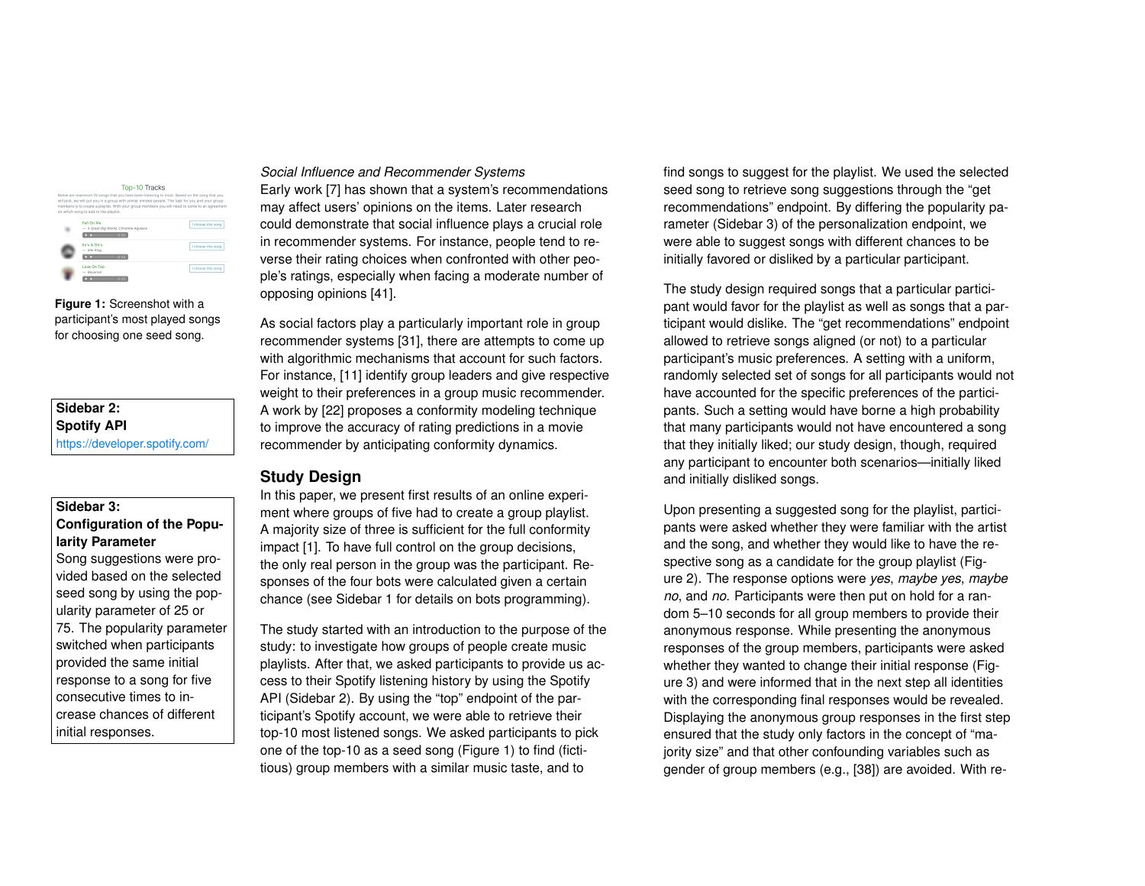| Top-10 Tracks<br>Below are maximum 10 songs that you have been listening to most. Based on the song that you<br>will pick, we will put you in a group with similar minded people. The task for you and your group<br>members is to create a playlist. With your group members you will need to come to an agreement<br>on which song to add to the playlist. |                    |
|--------------------------------------------------------------------------------------------------------------------------------------------------------------------------------------------------------------------------------------------------------------------------------------------------------------------------------------------------------------|--------------------|
| Fall On Me<br>- A Great Big World, Christina Aguilera<br>$-0.30$                                                                                                                                                                                                                                                                                             | I choose this song |
| Firis & Ohis<br>$-$ Eile King<br>$-0.30$                                                                                                                                                                                                                                                                                                                     | I choose this song |
| Love On Top<br>- Bevoncé<br>0:30                                                                                                                                                                                                                                                                                                                             | I choose this song |

<span id="page-3-0"></span>**Figure 1:** Screenshot with a participant's most played songs for choosing one seed song.

**Sidebar 2: Spotify API** <https://developer.spotify.com/>

## **Sidebar 3: Configuration of the Popularity Parameter**

Song suggestions were provided based on the selected seed song by using the popularity parameter of 25 or 75. The popularity parameter switched when participants provided the same initial response to a song for five consecutive times to increase chances of different initial responses.

### *Social Influence and Recommender Systems*

Early work [\[7\]](#page-6-6) has shown that a system's recommendations may affect users' opinions on the items. Later research could demonstrate that social influence plays a crucial role in recommender systems. For instance, people tend to reverse their rating choices when confronted with other people's ratings, especially when facing a moderate number of opposing opinions [\[41\]](#page-10-0).

As social factors play a particularly important role in group recommender systems [\[31\]](#page-9-11), there are attempts to come up with algorithmic mechanisms that account for such factors. For instance, [\[11\]](#page-7-10) identify group leaders and give respective weight to their preferences in a group music recommender. A work by [\[22\]](#page-8-7) proposes a conformity modeling technique to improve the accuracy of rating predictions in a movie recommender by anticipating conformity dynamics.

# **Study Design**

In this paper, we present first results of an online experiment where groups of five had to create a group playlist. A majority size of three is sufficient for the full conformity impact [\[1\]](#page-6-0). To have full control on the group decisions, the only real person in the group was the participant. Responses of the four bots were calculated given a certain chance (see Sidebar 1 for details on bots programming).

The study started with an introduction to the purpose of the study: to investigate how groups of people create music playlists. After that, we asked participants to provide us access to their Spotify listening history by using the Spotify API (Sidebar 2). By using the "top" endpoint of the participant's Spotify account, we were able to retrieve their top-10 most listened songs. We asked participants to pick one of the top-10 as a seed song (Figure [1\)](#page-3-0) to find (fictitious) group members with a similar music taste, and to

find songs to suggest for the playlist. We used the selected seed song to retrieve song suggestions through the "get recommendations" endpoint. By differing the popularity parameter (Sidebar 3) of the personalization endpoint, we were able to suggest songs with different chances to be initially favored or disliked by a particular participant.

The study design required songs that a particular participant would favor for the playlist as well as songs that a participant would dislike. The "get recommendations" endpoint allowed to retrieve songs aligned (or not) to a particular participant's music preferences. A setting with a uniform, randomly selected set of songs for all participants would not have accounted for the specific preferences of the participants. Such a setting would have borne a high probability that many participants would not have encountered a song that they initially liked; our study design, though, required any participant to encounter both scenarios—initially liked and initially disliked songs.

Upon presenting a suggested song for the playlist, participants were asked whether they were familiar with the artist and the song, and whether they would like to have the respective song as a candidate for the group playlist (Figure [2\)](#page-4-0). The response options were *yes*, *maybe yes*, *maybe no*, and *no*. Participants were then put on hold for a random 5–10 seconds for all group members to provide their anonymous response. While presenting the anonymous responses of the group members, participants were asked whether they wanted to change their initial response (Figure [3\)](#page-4-1) and were informed that in the next step all identities with the corresponding final responses would be revealed. Displaying the anonymous group responses in the first step ensured that the study only factors in the concept of "majority size" and that other confounding variables such as gender of group members (e.g., [\[38\]](#page-9-7)) are avoided. With re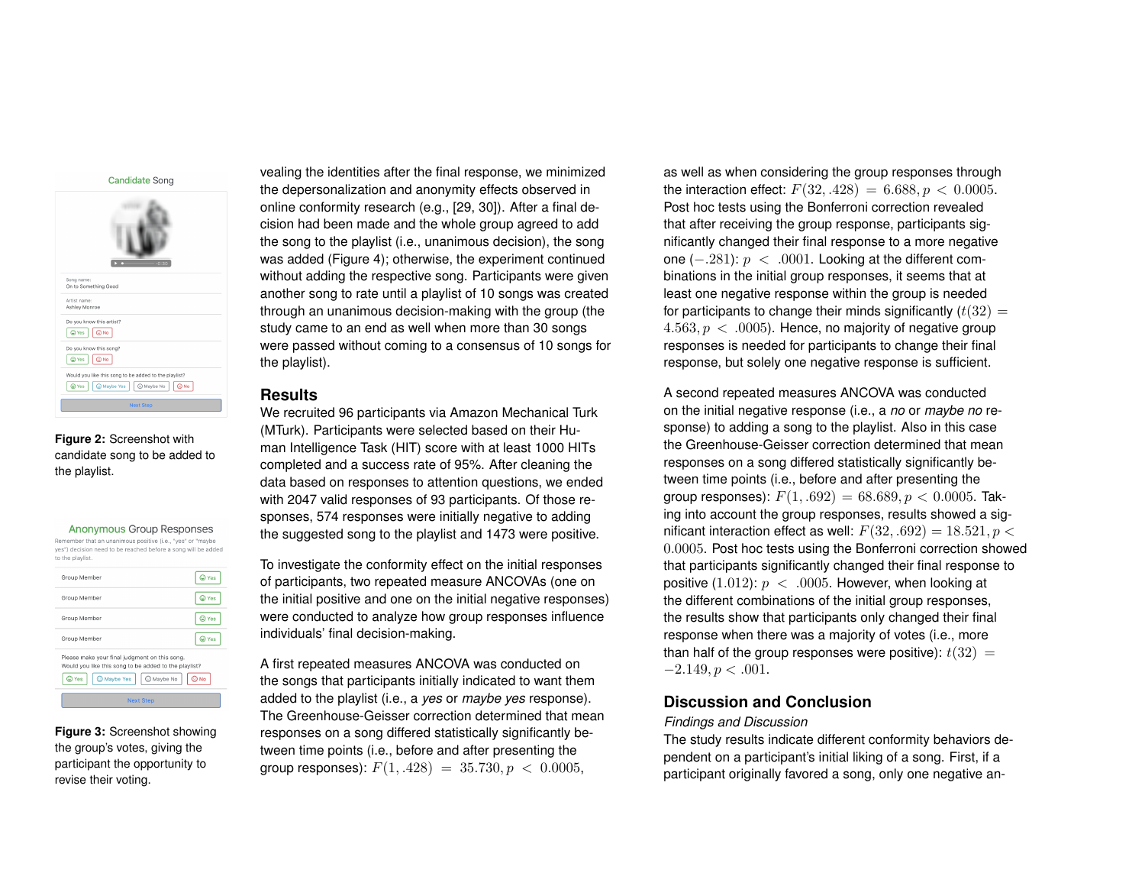**Candidate Song** 



<span id="page-4-0"></span>**Figure 2:** Screenshot with candidate song to be added to the playlist.

 $A_n$ 

| <b>AHOHYMOUS OF OUD RESPONSES</b>                                                                                                               |       |
|-------------------------------------------------------------------------------------------------------------------------------------------------|-------|
| Remember that an unanimous positive (i.e., "yes" or "maybe<br>yes") decision need to be reached before a song will be added<br>to the playlist. |       |
| Group Member                                                                                                                                    | © Yes |
| Group Member                                                                                                                                    | C Yes |
| Group Member                                                                                                                                    | © Yes |
| Group Member                                                                                                                                    | © Yes |
| Please make your final judgment on this song.<br>Would you like this song to be added to the playlist?<br>C Maybe No<br>C Yes<br>C Maybe Yes    | © No  |
|                                                                                                                                                 |       |

<span id="page-4-1"></span>**Figure 3:** Screenshot showing the group's votes, giving the participant the opportunity to revise their voting.

vealing the identities after the final response, we minimized the depersonalization and anonymity effects observed in online conformity research (e.g., [\[29,](#page-9-9) [30\]](#page-9-10)). After a final decision had been made and the whole group agreed to add the song to the playlist (i.e., unanimous decision), the song was added (Figure [4\)](#page-5-0); otherwise, the experiment continued without adding the respective song. Participants were given another song to rate until a playlist of 10 songs was created through an unanimous decision-making with the group (the study came to an end as well when more than 30 songs were passed without coming to a consensus of 10 songs for the playlist).

# **Results**

We recruited 96 participants via Amazon Mechanical Turk (MTurk). Participants were selected based on their Human Intelligence Task (HIT) score with at least 1000 HITs completed and a success rate of 95%. After cleaning the data based on responses to attention questions, we ended with 2047 valid responses of 93 participants. Of those responses, 574 responses were initially negative to adding the suggested song to the playlist and 1473 were positive.

To investigate the conformity effect on the initial responses of participants, two repeated measure ANCOVAs (one on the initial positive and one on the initial negative responses) were conducted to analyze how group responses influence individuals' final decision-making.

A first repeated measures ANCOVA was conducted on the songs that participants initially indicated to want them added to the playlist (i.e., a *yes* or *maybe yes* response). The Greenhouse-Geisser correction determined that mean responses on a song differed statistically significantly between time points (i.e., before and after presenting the group responses):  $F(1, .428) = 35.730, p < 0.0005$ ,

as well as when considering the group responses through the interaction effect:  $F(32, .428) = 6.688, p < 0.0005$ . Post hoc tests using the Bonferroni correction revealed that after receiving the group response, participants significantly changed their final response to a more negative one  $(-.281)$ :  $p < .0001$ . Looking at the different combinations in the initial group responses, it seems that at least one negative response within the group is needed for participants to change their minds significantly  $(t(32) =$  $4.563, p < .0005$ . Hence, no majority of negative group responses is needed for participants to change their final response, but solely one negative response is sufficient.

A second repeated measures ANCOVA was conducted on the initial negative response (i.e., a *no* or *maybe no* response) to adding a song to the playlist. Also in this case the Greenhouse-Geisser correction determined that mean responses on a song differed statistically significantly between time points (i.e., before and after presenting the group responses):  $F(1, .692) = 68.689, p < 0.0005$ . Taking into account the group responses, results showed a significant interaction effect as well:  $F(32, .692) = 18.521, p <$ 0.0005. Post hoc tests using the Bonferroni correction showed that participants significantly changed their final response to positive (1.012):  $p < .0005$ . However, when looking at the different combinations of the initial group responses, the results show that participants only changed their final response when there was a majority of votes (i.e., more than half of the group responses were positive):  $t(32) =$  $-2.149, p < .001.$ 

# **Discussion and Conclusion**

#### *Findings and Discussion*

The study results indicate different conformity behaviors dependent on a participant's initial liking of a song. First, if a participant originally favored a song, only one negative an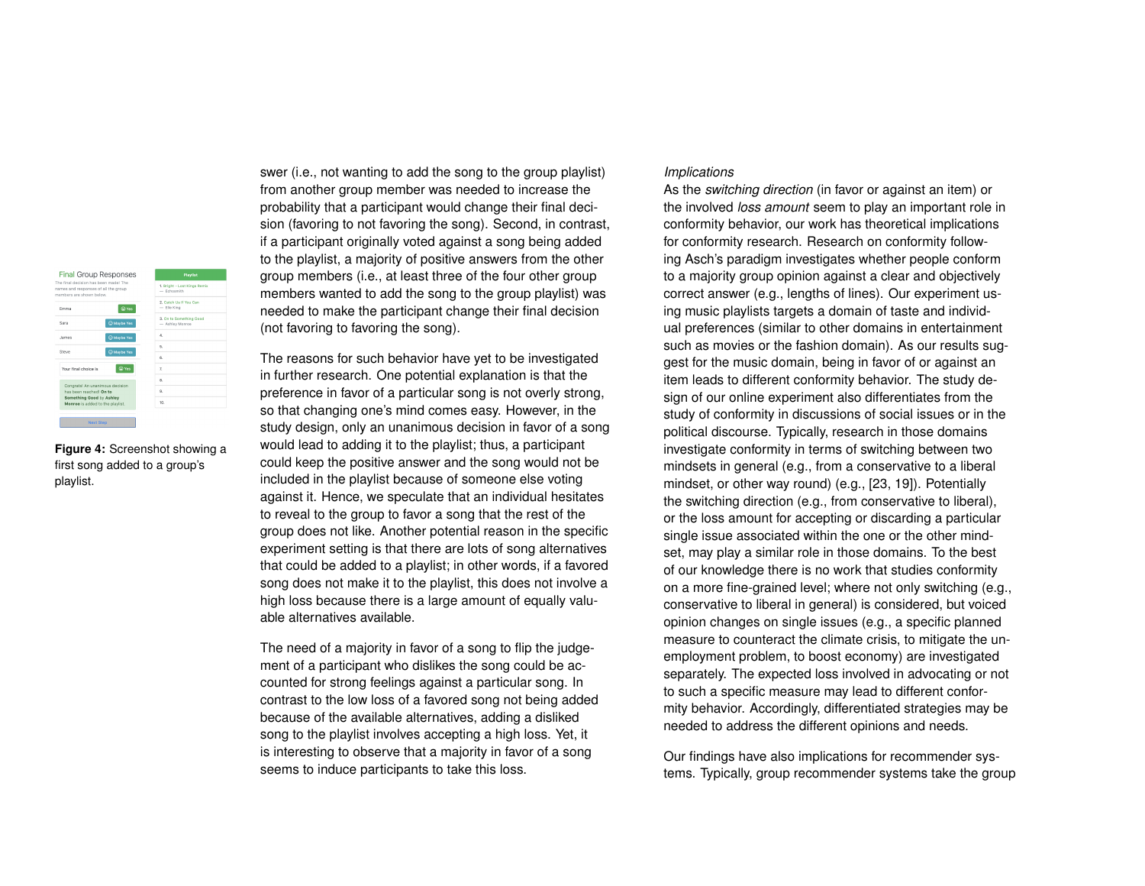Final Group Responses rinal decision nas deen made: i<br>es and responses of all the grou 2. Catch Us If You Can<br>
- Elle King  $\bigcirc$  Yes Emma Sara  $\bigcirc$  Maybe Yes **James** C Maybe Yes **Steve** Maybe Yes  $\bigcirc$  Yes Your final choice is Congrats! An ur congrass an unanimous de<br>has been reached! On to<br>Something Good by Ashle<br>Monroe is added to the play  $10<sub>1</sub>$ 

<span id="page-5-0"></span>**Figure 4:** Screenshot showing a first song added to a group's playlist.

swer (i.e., not wanting to add the song to the group playlist) from another group member was needed to increase the probability that a participant would change their final decision (favoring to not favoring the song). Second, in contrast, if a participant originally voted against a song being added to the playlist, a majority of positive answers from the other group members (i.e., at least three of the four other group members wanted to add the song to the group playlist) was needed to make the participant change their final decision (not favoring to favoring the song).

The reasons for such behavior have yet to be investigated in further research. One potential explanation is that the preference in favor of a particular song is not overly strong, so that changing one's mind comes easy. However, in the study design, only an unanimous decision in favor of a song would lead to adding it to the playlist; thus, a participant could keep the positive answer and the song would not be included in the playlist because of someone else voting against it. Hence, we speculate that an individual hesitates to reveal to the group to favor a song that the rest of the group does not like. Another potential reason in the specific experiment setting is that there are lots of song alternatives that could be added to a playlist; in other words, if a favored song does not make it to the playlist, this does not involve a high loss because there is a large amount of equally valuable alternatives available.

The need of a majority in favor of a song to flip the judgement of a participant who dislikes the song could be accounted for strong feelings against a particular song. In contrast to the low loss of a favored song not being added because of the available alternatives, adding a disliked song to the playlist involves accepting a high loss. Yet, it is interesting to observe that a majority in favor of a song seems to induce participants to take this loss.

#### *Implications*

As the *switching direction* (in favor or against an item) or the involved *loss amount* seem to play an important role in conformity behavior, our work has theoretical implications for conformity research. Research on conformity following Asch's paradigm investigates whether people conform to a majority group opinion against a clear and objectively correct answer (e.g., lengths of lines). Our experiment using music playlists targets a domain of taste and individual preferences (similar to other domains in entertainment such as movies or the fashion domain). As our results suggest for the music domain, being in favor of or against an item leads to different conformity behavior. The study design of our online experiment also differentiates from the study of conformity in discussions of social issues or in the political discourse. Typically, research in those domains investigate conformity in terms of switching between two mindsets in general (e.g., from a conservative to a liberal mindset, or other way round) (e.g., [\[23,](#page-8-8) [19\]](#page-8-9)). Potentially the switching direction (e.g., from conservative to liberal), or the loss amount for accepting or discarding a particular single issue associated within the one or the other mindset, may play a similar role in those domains. To the best of our knowledge there is no work that studies conformity on a more fine-grained level; where not only switching (e.g., conservative to liberal in general) is considered, but voiced opinion changes on single issues (e.g., a specific planned measure to counteract the climate crisis, to mitigate the unemployment problem, to boost economy) are investigated separately. The expected loss involved in advocating or not to such a specific measure may lead to different conformity behavior. Accordingly, differentiated strategies may be needed to address the different opinions and needs.

Our findings have also implications for recommender systems. Typically, group recommender systems take the group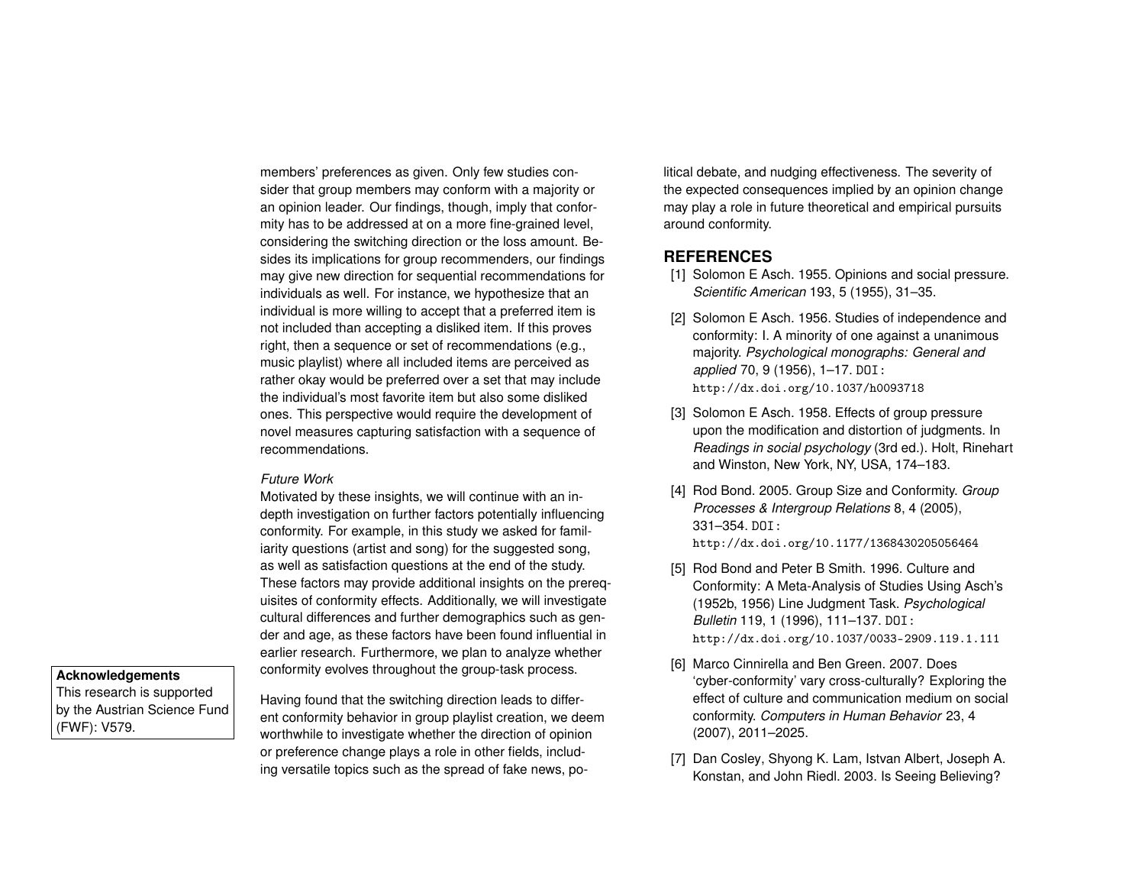members' preferences as given. Only few studies consider that group members may conform with a majority or an opinion leader. Our findings, though, imply that conformity has to be addressed at on a more fine-grained level, considering the switching direction or the loss amount. Besides its implications for group recommenders, our findings may give new direction for sequential recommendations for individuals as well. For instance, we hypothesize that an individual is more willing to accept that a preferred item is not included than accepting a disliked item. If this proves right, then a sequence or set of recommendations (e.g., music playlist) where all included items are perceived as rather okay would be preferred over a set that may include the individual's most favorite item but also some disliked ones. This perspective would require the development of novel measures capturing satisfaction with a sequence of recommendations.

#### *Future Work*

Motivated by these insights, we will continue with an indepth investigation on further factors potentially influencing conformity. For example, in this study we asked for familiarity questions (artist and song) for the suggested song, as well as satisfaction questions at the end of the study. These factors may provide additional insights on the prerequisites of conformity effects. Additionally, we will investigate cultural differences and further demographics such as gender and age, as these factors have been found influential in earlier research. Furthermore, we plan to analyze whether conformity evolves throughout the group-task process. **Acknowledgements**

This research is supported by the Austrian Science Fund (FWF): V579.

Having found that the switching direction leads to different conformity behavior in group playlist creation, we deem worthwhile to investigate whether the direction of opinion or preference change plays a role in other fields, including versatile topics such as the spread of fake news, po-

litical debate, and nudging effectiveness. The severity of the expected consequences implied by an opinion change may play a role in future theoretical and empirical pursuits around conformity.

# **REFERENCES**

- <span id="page-6-0"></span>[1] Solomon E Asch. 1955. Opinions and social pressure. *Scientific American* 193, 5 (1955), 31–35.
- <span id="page-6-1"></span>[2] Solomon E Asch. 1956. Studies of independence and conformity: I. A minority of one against a unanimous majority. *Psychological monographs: General and applied* 70, 9 (1956), 1–17. DOI: <http://dx.doi.org/10.1037/h0093718>
- <span id="page-6-2"></span>[3] Solomon E Asch. 1958. Effects of group pressure upon the modification and distortion of judgments. In *Readings in social psychology* (3rd ed.). Holt, Rinehart and Winston, New York, NY, USA, 174–183.
- <span id="page-6-3"></span>[4] Rod Bond. 2005. Group Size and Conformity. *Group Processes & Intergroup Relations* 8, 4 (2005), 331–354. DOI: <http://dx.doi.org/10.1177/1368430205056464>
- <span id="page-6-5"></span>[5] Rod Bond and Peter B Smith. 1996. Culture and Conformity: A Meta-Analysis of Studies Using Asch's (1952b, 1956) Line Judgment Task. *Psychological Bulletin* 119, 1 (1996), 111–137. DOI: <http://dx.doi.org/10.1037/0033-2909.119.1.111>
- <span id="page-6-4"></span>[6] Marco Cinnirella and Ben Green. 2007. Does 'cyber-conformity' vary cross-culturally? Exploring the effect of culture and communication medium on social conformity. *Computers in Human Behavior* 23, 4 (2007), 2011–2025.
- <span id="page-6-6"></span>[7] Dan Cosley, Shyong K. Lam, Istvan Albert, Joseph A. Konstan, and John Riedl. 2003. Is Seeing Believing?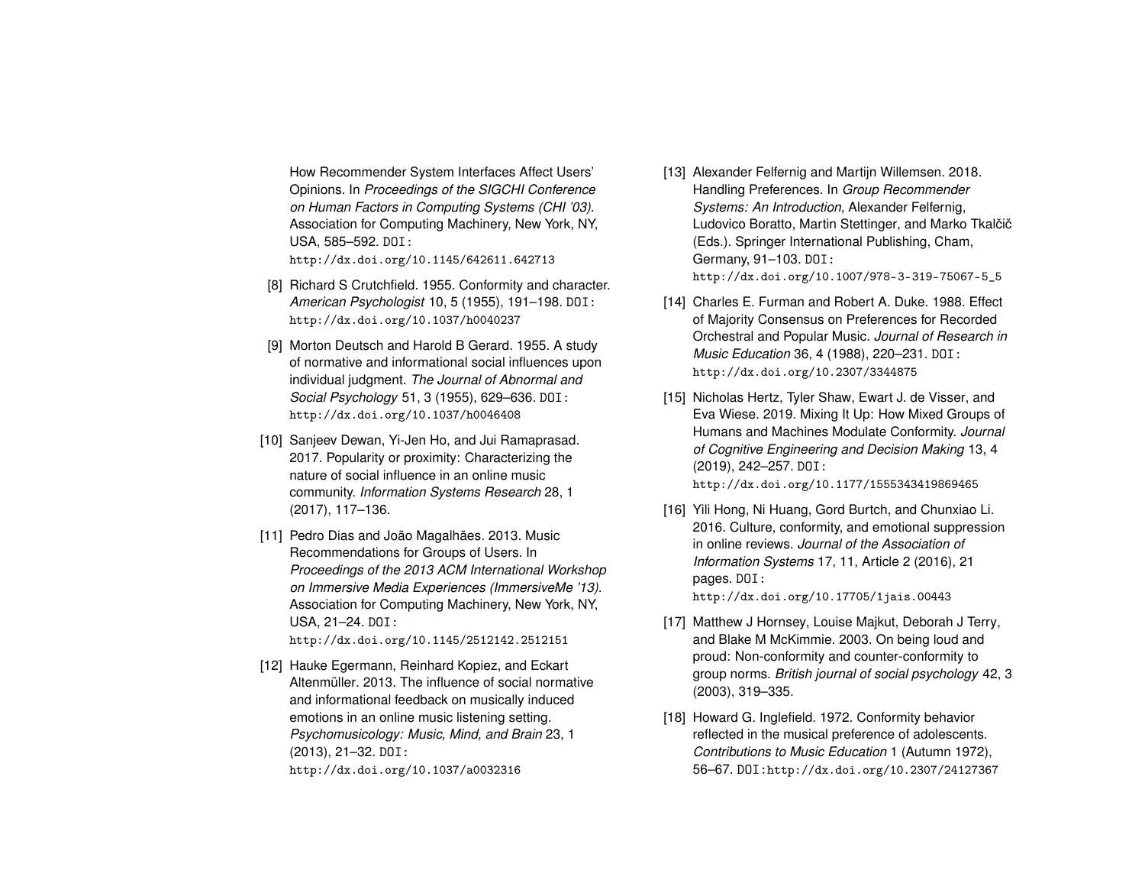How Recommender System Interfaces Affect Users' Opinions. In *Proceedings of the SIGCHI Conference on Human Factors in Computing Systems (CHI '03)*. Association for Computing Machinery, New York, NY, USA, 585–592. DOI: <http://dx.doi.org/10.1145/642611.642713>

- <span id="page-7-4"></span>[8] Richard S Crutchfield. 1955. Conformity and character. *American Psychologist* 10, 5 (1955), 191–198. DOI: <http://dx.doi.org/10.1037/h0040237>
- <span id="page-7-2"></span>[9] Morton Deutsch and Harold B Gerard. 1955. A study of normative and informational social influences upon individual judgment. *The Journal of Abnormal and Social Psychology* 51, 3 (1955), 629–636. DOI: <http://dx.doi.org/10.1037/h0046408>
- <span id="page-7-9"></span>[10] Sanjeev Dewan, Yi-Jen Ho, and Jui Ramaprasad. 2017. Popularity or proximity: Characterizing the nature of social influence in an online music community. *Information Systems Research* 28, 1 (2017), 117–136.
- <span id="page-7-10"></span>[11] Pedro Dias and João Magalhães. 2013. Music Recommendations for Groups of Users. In *Proceedings of the 2013 ACM International Workshop on Immersive Media Experiences (ImmersiveMe '13)*. Association for Computing Machinery, New York, NY, USA, 21–24. DOI: <http://dx.doi.org/10.1145/2512142.2512151>

<span id="page-7-8"></span>[12] Hauke Egermann, Reinhard Kopiez, and Eckart

Altenmüller. 2013. The influence of social normative and informational feedback on musically induced emotions in an online music listening setting. *Psychomusicology: Music, Mind, and Brain* 23, 1 (2013), 21–32. DOI:

<http://dx.doi.org/10.1037/a0032316>

- <span id="page-7-1"></span>[13] Alexander Felfernig and Martijn Willemsen. 2018. Handling Preferences. In *Group Recommender Systems: An Introduction*, Alexander Felfernig, Ludovico Boratto, Martin Stettinger, and Marko Tkalčič (Eds.). Springer International Publishing, Cham, Germany, 91–103. DOI: [http://dx.doi.org/10.1007/978-3-319-75067-5\\_5](http://dx.doi.org/10.1007/978-3-319-75067-5_5)
- <span id="page-7-7"></span>[14] Charles E. Furman and Robert A. Duke. 1988. Effect of Majority Consensus on Preferences for Recorded Orchestral and Popular Music. *Journal of Research in Music Education* 36, 4 (1988), 220–231. DOI: <http://dx.doi.org/10.2307/3344875>
- <span id="page-7-5"></span>[15] Nicholas Hertz, Tyler Shaw, Ewart J. de Visser, and Eva Wiese. 2019. Mixing It Up: How Mixed Groups of Humans and Machines Modulate Conformity. *Journal of Cognitive Engineering and Decision Making* 13, 4 (2019), 242–257. DOI: <http://dx.doi.org/10.1177/1555343419869465>
- <span id="page-7-0"></span>[16] Yili Hong, Ni Huang, Gord Burtch, and Chunxiao Li. 2016. Culture, conformity, and emotional suppression in online reviews. *Journal of the Association of Information Systems* 17, 11, Article 2 (2016), 21 pages. DOI: <http://dx.doi.org/10.17705/1jais.00443>
- <span id="page-7-3"></span>[17] Matthew J Hornsey, Louise Majkut, Deborah J Terry, and Blake M McKimmie. 2003. On being loud and proud: Non-conformity and counter-conformity to group norms. *British journal of social psychology* 42, 3 (2003), 319–335.
- <span id="page-7-6"></span>[18] Howard G. Inglefield. 1972. Conformity behavior reflected in the musical preference of adolescents. *Contributions to Music Education* 1 (Autumn 1972), 56–67. DOI:<http://dx.doi.org/10.2307/24127367>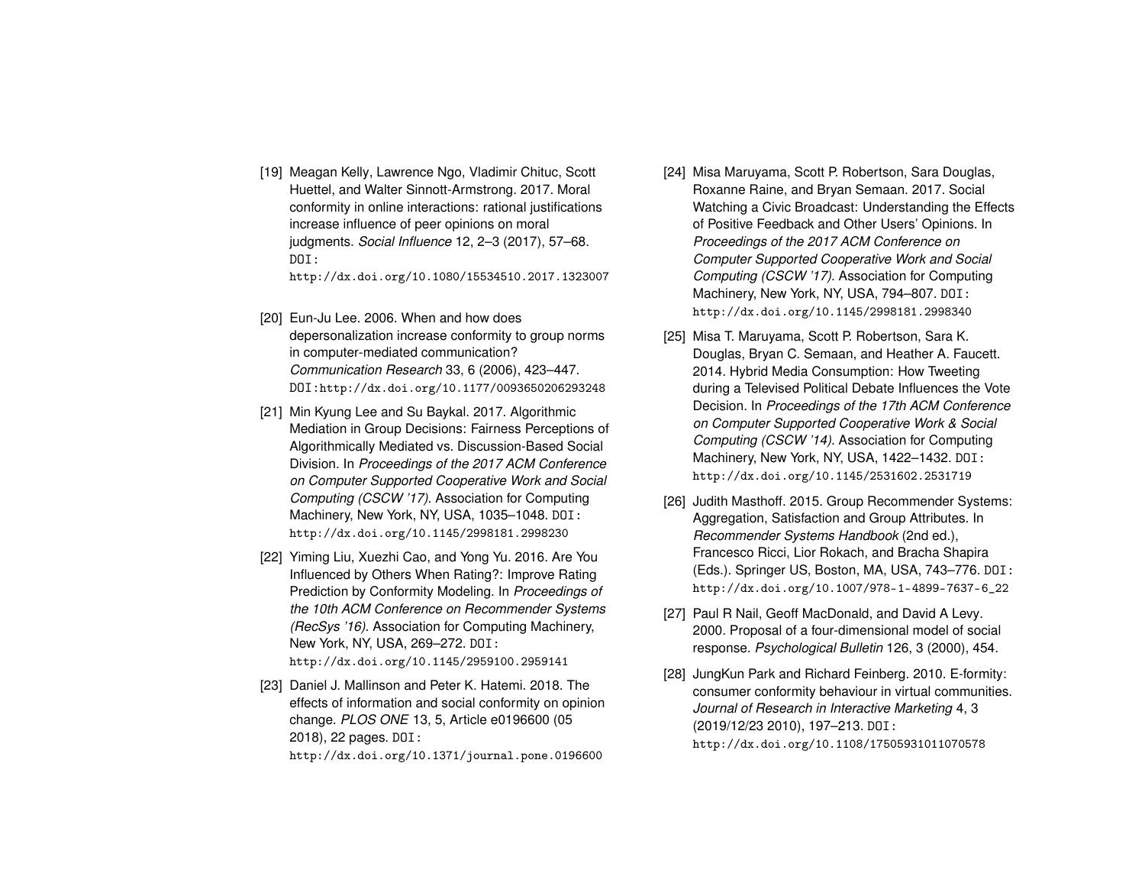<span id="page-8-9"></span>[19] Meagan Kelly, Lawrence Ngo, Vladimir Chituc, Scott Huettel, and Walter Sinnott-Armstrong. 2017. Moral conformity in online interactions: rational justifications increase influence of peer opinions on moral judgments. *Social Influence* 12, 2–3 (2017), 57–68. DOI:

<http://dx.doi.org/10.1080/15534510.2017.1323007>

- <span id="page-8-4"></span>[20] Eun-Ju Lee. 2006. When and how does depersonalization increase conformity to group norms in computer-mediated communication? *Communication Research* 33, 6 (2006), 423–447. DOI:<http://dx.doi.org/10.1177/0093650206293248>
- <span id="page-8-1"></span>[21] Min Kyung Lee and Su Baykal. 2017. Algorithmic Mediation in Group Decisions: Fairness Perceptions of Algorithmically Mediated vs. Discussion-Based Social Division. In *Proceedings of the 2017 ACM Conference on Computer Supported Cooperative Work and Social Computing (CSCW '17)*. Association for Computing Machinery, New York, NY, USA, 1035–1048. DOI: <http://dx.doi.org/10.1145/2998181.2998230>
- <span id="page-8-7"></span>[22] Yiming Liu, Xuezhi Cao, and Yong Yu. 2016. Are You Influenced by Others When Rating?: Improve Rating Prediction by Conformity Modeling. In *Proceedings of the 10th ACM Conference on Recommender Systems (RecSys '16)*. Association for Computing Machinery, New York, NY, USA, 269–272. DOI: <http://dx.doi.org/10.1145/2959100.2959141>
- <span id="page-8-8"></span>[23] Daniel J. Mallinson and Peter K. Hatemi. 2018. The effects of information and social conformity on opinion change. *PLOS ONE* 13, 5, Article e0196600 (05 2018), 22 pages. DOI:

<http://dx.doi.org/10.1371/journal.pone.0196600>

- <span id="page-8-6"></span>[24] Misa Maruyama, Scott P. Robertson, Sara Douglas, Roxanne Raine, and Bryan Semaan. 2017. Social Watching a Civic Broadcast: Understanding the Effects of Positive Feedback and Other Users' Opinions. In *Proceedings of the 2017 ACM Conference on Computer Supported Cooperative Work and Social Computing (CSCW '17)*. Association for Computing Machinery, New York, NY, USA, 794–807. DOI: <http://dx.doi.org/10.1145/2998181.2998340>
- <span id="page-8-5"></span>[25] Misa T. Maruyama, Scott P. Robertson, Sara K. Douglas, Bryan C. Semaan, and Heather A. Faucett. 2014. Hybrid Media Consumption: How Tweeting during a Televised Political Debate Influences the Vote Decision. In *Proceedings of the 17th ACM Conference on Computer Supported Cooperative Work & Social Computing (CSCW '14)*. Association for Computing Machinery, New York, NY, USA, 1422–1432. DOI: <http://dx.doi.org/10.1145/2531602.2531719>
- <span id="page-8-2"></span>[26] Judith Masthoff. 2015. Group Recommender Systems: Aggregation, Satisfaction and Group Attributes. In *Recommender Systems Handbook* (2nd ed.), Francesco Ricci, Lior Rokach, and Bracha Shapira (Eds.). Springer US, Boston, MA, USA, 743–776. DOI: [http://dx.doi.org/10.1007/978-1-4899-7637-6\\_22](http://dx.doi.org/10.1007/978-1-4899-7637-6_22)
- <span id="page-8-3"></span>[27] Paul R Nail, Geoff MacDonald, and David A Levy. 2000. Proposal of a four-dimensional model of social response. *Psychological Bulletin* 126, 3 (2000), 454.
- <span id="page-8-0"></span>[28] JungKun Park and Richard Feinberg. 2010. E-formity: consumer conformity behaviour in virtual communities. *Journal of Research in Interactive Marketing* 4, 3 (2019/12/23 2010), 197–213. DOI: <http://dx.doi.org/10.1108/17505931011070578>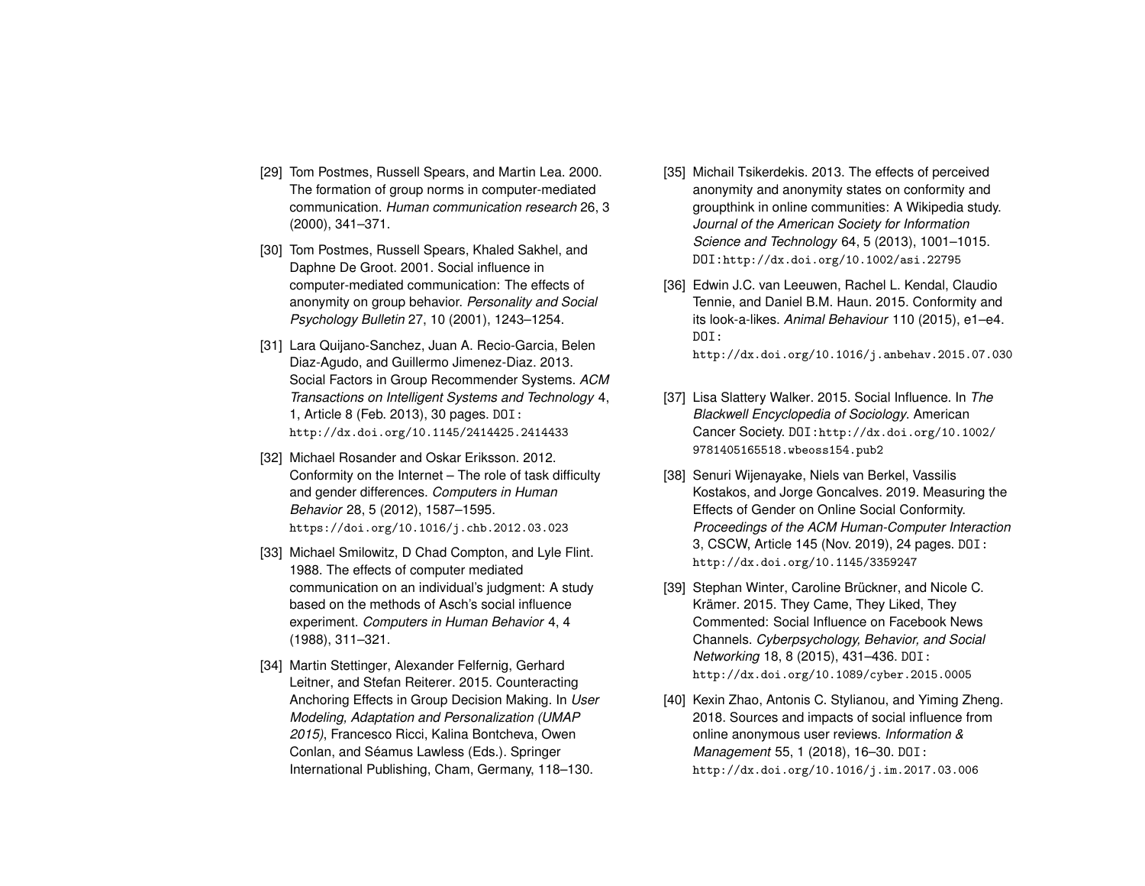- <span id="page-9-9"></span>[29] Tom Postmes, Russell Spears, and Martin Lea. 2000. The formation of group norms in computer-mediated communication. *Human communication research* 26, 3 (2000), 341–371.
- <span id="page-9-10"></span>[30] Tom Postmes, Russell Spears, Khaled Sakhel, and Daphne De Groot. 2001. Social influence in computer-mediated communication: The effects of anonymity on group behavior. *Personality and Social Psychology Bulletin* 27, 10 (2001), 1243–1254.
- <span id="page-9-11"></span>[31] Lara Quijano-Sanchez, Juan A. Recio-Garcia, Belen Diaz-Agudo, and Guillermo Jimenez-Diaz. 2013. Social Factors in Group Recommender Systems. *ACM Transactions on Intelligent Systems and Technology* 4, 1, Article 8 (Feb. 2013), 30 pages. DOI: <http://dx.doi.org/10.1145/2414425.2414433>
- <span id="page-9-0"></span>[32] Michael Rosander and Oskar Eriksson. 2012. Conformity on the Internet – The role of task difficulty and gender differences. *Computers in Human Behavior* 28, 5 (2012), 1587–1595. <https://doi.org/10.1016/j.chb.2012.03.023>
- <span id="page-9-8"></span>[33] Michael Smilowitz, D Chad Compton, and Lyle Flint. 1988. The effects of computer mediated communication on an individual's judgment: A study based on the methods of Asch's social influence experiment. *Computers in Human Behavior* 4, 4 (1988), 311–321.
- <span id="page-9-4"></span>[34] Martin Stettinger, Alexander Felfernig, Gerhard Leitner, and Stefan Reiterer. 2015. Counteracting Anchoring Effects in Group Decision Making. In *User Modeling, Adaptation and Personalization (UMAP 2015)*, Francesco Ricci, Kalina Bontcheva, Owen Conlan, and Séamus Lawless (Eds.). Springer International Publishing, Cham, Germany, 118–130.
- <span id="page-9-3"></span>[35] Michail Tsikerdekis. 2013. The effects of perceived anonymity and anonymity states on conformity and groupthink in online communities: A Wikipedia study. *Journal of the American Society for Information Science and Technology* 64, 5 (2013), 1001–1015. DOI:<http://dx.doi.org/10.1002/asi.22795>
- <span id="page-9-6"></span>[36] Edwin J.C. van Leeuwen, Rachel L. Kendal, Claudio Tennie, and Daniel B.M. Haun. 2015. Conformity and its look-a-likes. *Animal Behaviour* 110 (2015), e1–e4. DOI:

<http://dx.doi.org/10.1016/j.anbehav.2015.07.030>

- <span id="page-9-5"></span>[37] Lisa Slattery Walker. 2015. Social Influence. In *The Blackwell Encyclopedia of Sociology*. American Cancer Society. DOI:[http://dx.doi.org/10.1002/](http://dx.doi.org/10.1002/9781405165518.wbeoss154.pub2) [9781405165518.wbeoss154.pub2](http://dx.doi.org/10.1002/9781405165518.wbeoss154.pub2)
- <span id="page-9-7"></span>[38] Senuri Wijenayake, Niels van Berkel, Vassilis Kostakos, and Jorge Goncalves. 2019. Measuring the Effects of Gender on Online Social Conformity. *Proceedings of the ACM Human-Computer Interaction* 3, CSCW, Article 145 (Nov. 2019), 24 pages. DOI: <http://dx.doi.org/10.1145/3359247>
- <span id="page-9-2"></span>[39] Stephan Winter, Caroline Brückner, and Nicole C. Krämer. 2015. They Came, They Liked, They Commented: Social Influence on Facebook News Channels. *Cyberpsychology, Behavior, and Social Networking* 18, 8 (2015), 431–436. DOI: <http://dx.doi.org/10.1089/cyber.2015.0005>
- <span id="page-9-1"></span>[40] Kexin Zhao, Antonis C. Stylianou, and Yiming Zheng. 2018. Sources and impacts of social influence from online anonymous user reviews. *Information & Management* 55, 1 (2018), 16–30. DOI: <http://dx.doi.org/10.1016/j.im.2017.03.006>